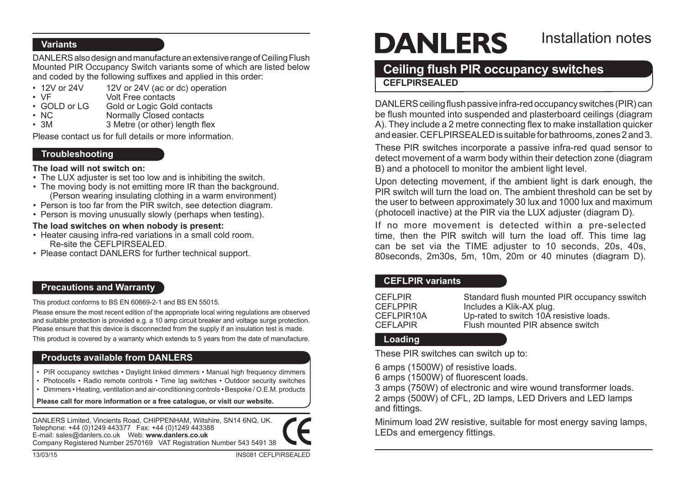### **Variants**

DANLERS also design and manufacture an extensive range of Ceiling Flush Mounted PIR Occupancy Switch variants some of which are listed below and coded by the following suffixes and applied in this order:

- 12V or 24V 12V or 24V (ac or dc) operation<br>• VE Volt Free contacts
- 
- • VF Volt Free contacts
- GOLD or LG Gold or Logic Gold contacts<br>• NC Mormally Closed contacts • NC Normally Closed contacts<br>• 3M 3 Metre (or other) length fi
- 3 Metre (or other) length flex

Please contact us for full details or more information.

## **Troubleshooting**

#### **The load will not switch on:**

- The LUX adjuster is set too low and is inhibiting the switch.
- The moving body is not emitting more IR than the background. (Person wearing insulating clothing in a warm environment)
- Person is too far from the PIR switch, see detection diagram.
- Person is moving unusually slowly (perhaps when testing).

### **The load switches on when nobody is present:**

- Heater causing infra-red variations in a small cold room. Re-site the CEFLPIRSEALED.
- Please contact DANLERS for further technical support.

# **Precautions and Warranty**

This product conforms to BS EN 60669-2-1 and BS EN 55015.

Please ensure the most recent edition of the appropriate local wiring regulations are observed and suitable protection is provided e.g. a 10 amp circuit breaker and voltage surge protection. Please ensure that this device is disconnected from the supply if an insulation test is made.

This product is covered by a warranty which extends to 5 years from the date of manufacture.

# **Products available from DANLERS**

- PIR occupancy switches Daylight linked dimmers Manual high frequency dimmers
- Photocells Radio remote controls Time lag switches Outdoor security switches
- • Dimmers Heating, ventilation and air-conditioning controls Bespoke / O.E.M. products

**Please call for more information or a free catalogue, or visit our website.**

DANLERS Limited, Vincients Road, CHIPPENHAM, Wiltshire, SN14 6NQ, UK. Telephone: +44 (0)1249 443377 Fax: +44 (0)1249 443388 E-mail: sales@danlers.co.uk Web: **www.danlers.co.uk** Company Registered Number 2570169 VAT Registration Number 543 5491 38



# **DANLERS**

# Installation notes

# **Ceiling flush PIR occupancy switches CEFLPIRSEALED**

DANLERS ceiling flush passive infra-red occupancy switches (PIR) can be flush mounted into suspended and plasterboard ceilings (diagram A). They include a 2 metre connecting flex to make installation quicker andeasier.CEFLPIRSEALEDis suitableforbathrooms, zones2and3.

These PIR switches incorporate a passive infra-red quad sensor to detect movement of a warm body within their detection zone (diagram B) and a photocell to monitor the ambient light level.

Upon detecting movement, if the ambient light is dark enough, the PIR switch will turn the load on. The ambient threshold can be set by the user to between approximately 30 lux and 1000 lux and maximum (photocell inactive) at the PIR via the LUX adjuster (diagram D).

If no more movement is detected within a pre-selected time, then the PIR switch will turn the load off. This time lag can be set via the TIME adjuster to 10 seconds, 20s, 40s, 80seconds, 2m30s, 5m, 10m, 20m or 40 minutes (diagram D).

# **CEFLPIR variants**

| <b>CEFLPIR</b>  | Standard flush mounted PIR occupancy sswitch |
|-----------------|----------------------------------------------|
| <b>CEFLPPIR</b> | Includes a Klik-AX plug.                     |
| CEFLPIR10A      | Up-rated to switch 10A resistive loads.      |
| <b>CEFLAPIR</b> | Flush mounted PIR absence switch             |

# **Loading**

These PIR switches can switch up to:

6 amps (1500W) of resistive loads.

6 amps (1500W) of fluorescent loads.

3 amps (750W) of electronic and wire wound transformer loads. 2 amps (500W) of CFL, 2D lamps, LED Drivers and LED lamps and fittings.

Minimum load 2W resistive, suitable for most energy saving lamps, LEDs and emergency fittings.

13/03/15 INS081 CEFLPIRSEALED